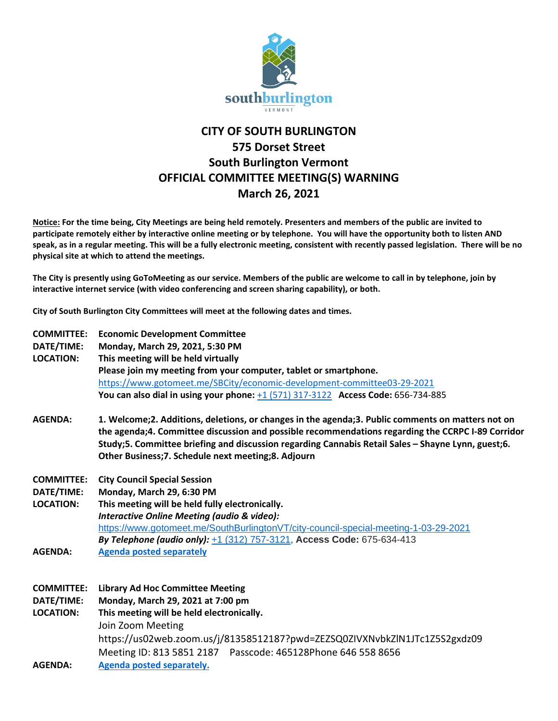

## **CITY OF SOUTH BURLINGTON 575 Dorset Street South Burlington Vermont OFFICIAL COMMITTEE MEETING(S) WARNING March 26, 2021**

**Notice: For the time being, City Meetings are being held remotely. Presenters and members of the public are invited to participate remotely either by interactive online meeting or by telephone. You will have the opportunity both to listen AND speak, as in a regular meeting. This will be a fully electronic meeting, consistent with recently passed legislation. There will be no physical site at which to attend the meetings.** 

**The City is presently using GoToMeeting as our service. Members of the public are welcome to call in by telephone, join by interactive internet service (with video conferencing and screen sharing capability), or both.**

**City of South Burlington City Committees will meet at the following dates and times.** 

| <b>COMMITTEE:</b><br>DATE/TIME:<br><b>LOCATION:</b> | <b>Economic Development Committee</b><br>Monday, March 29, 2021, 5:30 PM<br>This meeting will be held virtually<br>Please join my meeting from your computer, tablet or smartphone.<br>https://www.gotomeet.me/SBCity/economic-development-committee03-29-2021<br>You can also dial in using your phone: $+1$ (571) 317-3122 Access Code: 656-734-885                |
|-----------------------------------------------------|----------------------------------------------------------------------------------------------------------------------------------------------------------------------------------------------------------------------------------------------------------------------------------------------------------------------------------------------------------------------|
| <b>AGENDA:</b>                                      | 1. Welcome; 2. Additions, deletions, or changes in the agenda; 3. Public comments on matters not on<br>the agenda;4. Committee discussion and possible recommendations regarding the CCRPC I-89 Corridor<br>Study;5. Committee briefing and discussion regarding Cannabis Retail Sales - Shayne Lynn, guest;6.<br>Other Business;7. Schedule next meeting;8. Adjourn |
| <b>COMMITTEE:</b>                                   | <b>City Council Special Session</b>                                                                                                                                                                                                                                                                                                                                  |
| DATE/TIME:                                          | Monday, March 29, 6:30 PM                                                                                                                                                                                                                                                                                                                                            |
| <b>LOCATION:</b>                                    | This meeting will be held fully electronically.                                                                                                                                                                                                                                                                                                                      |
|                                                     | <b>Interactive Online Meeting (audio &amp; video):</b><br>https://www.gotomeet.me/SouthBurlingtonVT/city-council-special-meeting-1-03-29-2021                                                                                                                                                                                                                        |
|                                                     | By Telephone (audio only): +1 (312) 757-3121, Access Code: 675-634-413                                                                                                                                                                                                                                                                                               |
| <b>AGENDA:</b>                                      | <b>Agenda posted separately</b>                                                                                                                                                                                                                                                                                                                                      |
|                                                     |                                                                                                                                                                                                                                                                                                                                                                      |
| <b>COMMITTEE:</b>                                   | <b>Library Ad Hoc Committee Meeting</b>                                                                                                                                                                                                                                                                                                                              |
| DATE/TIME:                                          | Monday, March 29, 2021 at 7:00 pm                                                                                                                                                                                                                                                                                                                                    |
| <b>LOCATION:</b>                                    | This meeting will be held electronically.                                                                                                                                                                                                                                                                                                                            |
|                                                     | Join Zoom Meeting                                                                                                                                                                                                                                                                                                                                                    |
|                                                     | https://us02web.zoom.us/j/81358512187?pwd=ZEZSQ0ZIVXNvbkZlN1JTc1Z5S2gxdz09                                                                                                                                                                                                                                                                                           |
|                                                     | Meeting ID: 813 5851 2187  Passcode: 465128Phone 646 558 8656                                                                                                                                                                                                                                                                                                        |
| <b>AGENDA:</b>                                      | Agenda posted separately.                                                                                                                                                                                                                                                                                                                                            |